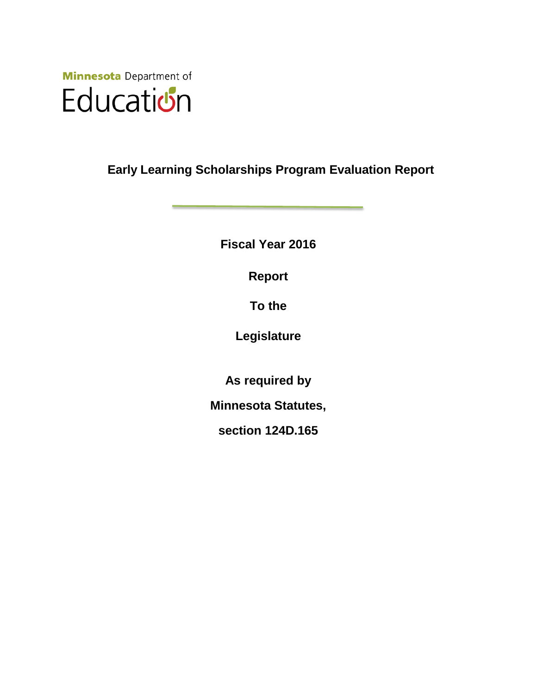

**Early Learning Scholarships Program Evaluation Report** 

**Fiscal Year 2016** 

**Report**

**To the**

**Legislature**

**As required by**

**Minnesota Statutes,** 

**section 124D.165**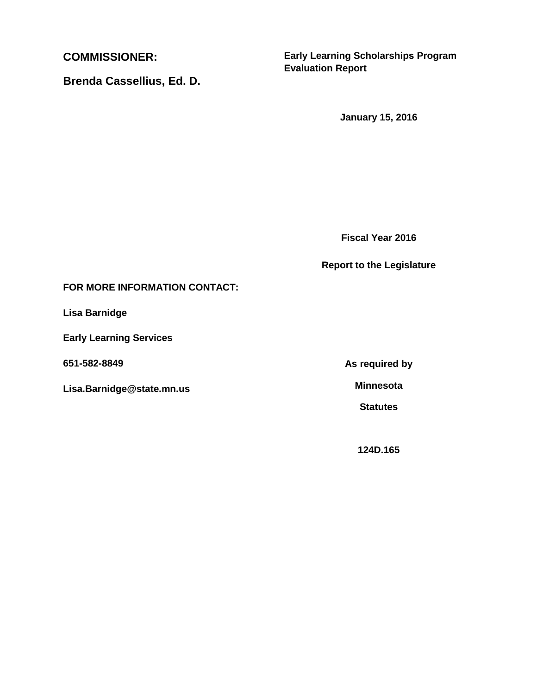**COMMISSIONER:** 

**Brenda Cassellius, Ed. D.**

**Early Learning Scholarships Program Evaluation Report**

**January 15, 2016**

**Fiscal Year 2016**

#### **Report to the Legislature**

### **FOR MORE INFORMATION CONTACT:**

**Lisa Barnidge**

**Early Learning Services**

**651-582-8849**

**Lisa.Barnidge@state.mn.us**

**As required by**

**Minnesota**

**Statutes**

**124D.165**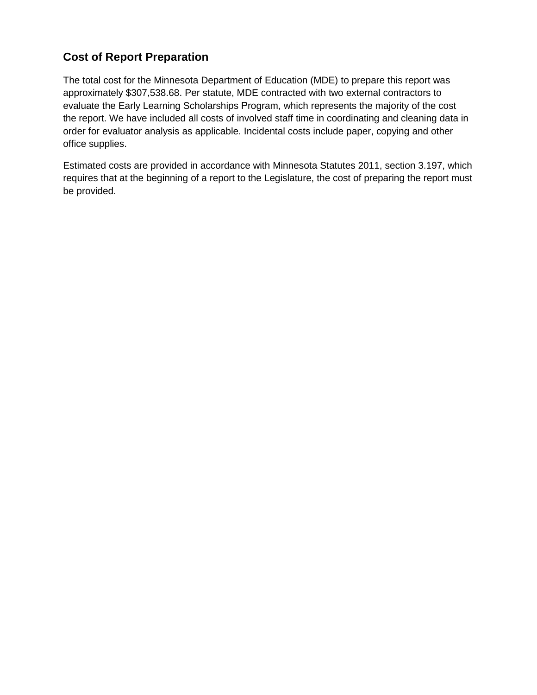# **Cost of Report Preparation**

The total cost for the Minnesota Department of Education (MDE) to prepare this report was approximately \$307,538.68. Per statute, MDE contracted with two external contractors to evaluate the Early Learning Scholarships Program, which represents the majority of the cost the report. We have included all costs of involved staff time in coordinating and cleaning data in order for evaluator analysis as applicable. Incidental costs include paper, copying and other office supplies.

Estimated costs are provided in accordance with Minnesota Statutes 2011, section 3.197, which requires that at the beginning of a report to the Legislature, the cost of preparing the report must be provided.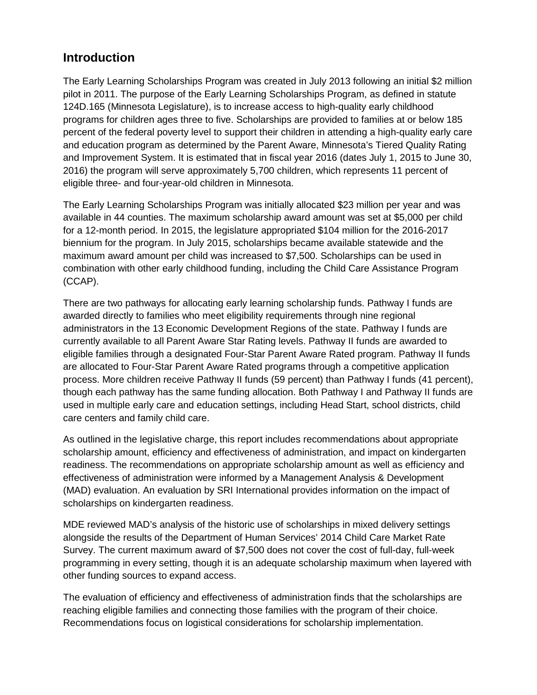# **Introduction**

The Early Learning Scholarships Program was created in July 2013 following an initial \$2 million pilot in 2011. The purpose of the Early Learning Scholarships Program, as defined in statute 124D.165 (Minnesota Legislature), is to increase access to high-quality early childhood programs for children ages three to five. Scholarships are provided to families at or below 185 percent of the federal poverty level to support their children in attending a high-quality early care and education program as determined by the Parent Aware, Minnesota's Tiered Quality Rating and Improvement System. It is estimated that in fiscal year 2016 (dates July 1, 2015 to June 30, 2016) the program will serve approximately 5,700 children, which represents 11 percent of eligible three- and four-year-old children in Minnesota.

The Early Learning Scholarships Program was initially allocated \$23 million per year and was available in 44 counties. The maximum scholarship award amount was set at \$5,000 per child for a 12-month period. In 2015, the legislature appropriated \$104 million for the 2016-2017 biennium for the program. In July 2015, scholarships became available statewide and the maximum award amount per child was increased to \$7,500. Scholarships can be used in combination with other early childhood funding, including the Child Care Assistance Program (CCAP).

There are two pathways for allocating early learning scholarship funds. Pathway I funds are awarded directly to families who meet eligibility requirements through nine regional administrators in the 13 Economic Development Regions of the state. Pathway I funds are currently available to all Parent Aware Star Rating levels. Pathway II funds are awarded to eligible families through a designated Four-Star Parent Aware Rated program. Pathway II funds are allocated to Four-Star Parent Aware Rated programs through a competitive application process. More children receive Pathway II funds (59 percent) than Pathway I funds (41 percent), though each pathway has the same funding allocation. Both Pathway I and Pathway II funds are used in multiple early care and education settings, including Head Start, school districts, child care centers and family child care.

As outlined in the legislative charge, this report includes recommendations about appropriate scholarship amount, efficiency and effectiveness of administration, and impact on kindergarten readiness. The recommendations on appropriate scholarship amount as well as efficiency and effectiveness of administration were informed by a Management Analysis & Development (MAD) evaluation. An evaluation by SRI International provides information on the impact of scholarships on kindergarten readiness.

MDE reviewed MAD's analysis of the historic use of scholarships in mixed delivery settings alongside the results of the Department of Human Services' 2014 Child Care Market Rate Survey. The current maximum award of \$7,500 does not cover the cost of full-day, full-week programming in every setting, though it is an adequate scholarship maximum when layered with other funding sources to expand access.

The evaluation of efficiency and effectiveness of administration finds that the scholarships are reaching eligible families and connecting those families with the program of their choice. Recommendations focus on logistical considerations for scholarship implementation.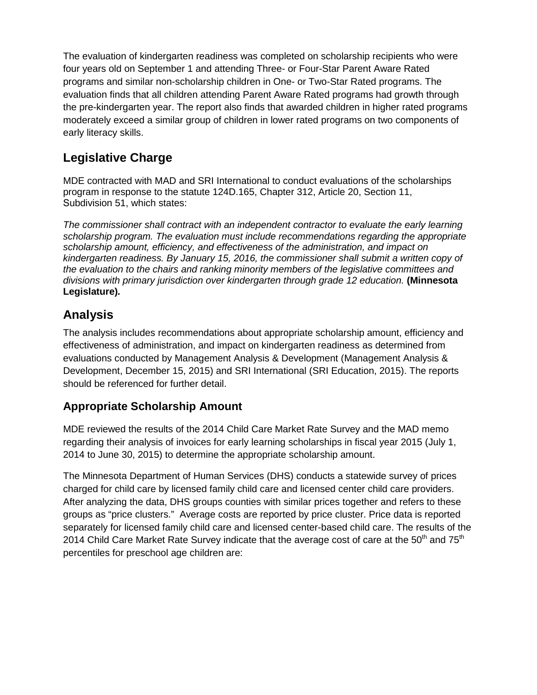The evaluation of kindergarten readiness was completed on scholarship recipients who were four years old on September 1 and attending Three- or Four-Star Parent Aware Rated programs and similar non-scholarship children in One- or Two-Star Rated programs. The evaluation finds that all children attending Parent Aware Rated programs had growth through the pre-kindergarten year. The report also finds that awarded children in higher rated programs moderately exceed a similar group of children in lower rated programs on two components of early literacy skills.

# **Legislative Charge**

MDE contracted with MAD and SRI International to conduct evaluations of the scholarships program in response to the statute 124D.165, Chapter 312, Article 20, Section 11, Subdivision 51, which states:

*The commissioner shall contract with an independent contractor to evaluate the early learning scholarship program. The evaluation must include recommendations regarding the appropriate scholarship amount, efficiency, and effectiveness of the administration, and impact on kindergarten readiness. By January 15, 2016, the commissioner shall submit a written copy of the evaluation to the chairs and ranking minority members of the legislative committees and divisions with primary jurisdiction over kindergarten through grade 12 education.* **(Minnesota Legislature)***.* 

# **Analysis**

The analysis includes recommendations about appropriate scholarship amount, efficiency and effectiveness of administration, and impact on kindergarten readiness as determined from evaluations conducted by Management Analysis & Development (Management Analysis & Development, December 15, 2015) and SRI International (SRI Education, 2015). The reports should be referenced for further detail.

# **Appropriate Scholarship Amount**

MDE reviewed the results of the 2014 Child Care Market Rate Survey and the MAD memo regarding their analysis of invoices for early learning scholarships in fiscal year 2015 (July 1, 2014 to June 30, 2015) to determine the appropriate scholarship amount.

The Minnesota Department of Human Services (DHS) conducts a statewide survey of prices charged for child care by licensed family child care and licensed center child care providers. After analyzing the data, DHS groups counties with similar prices together and refers to these groups as "price clusters." Average costs are reported by price cluster. Price data is reported separately for licensed family child care and licensed center-based child care. The results of the 2014 Child Care Market Rate Survey indicate that the average cost of care at the  $50<sup>th</sup>$  and  $75<sup>th</sup>$ percentiles for preschool age children are: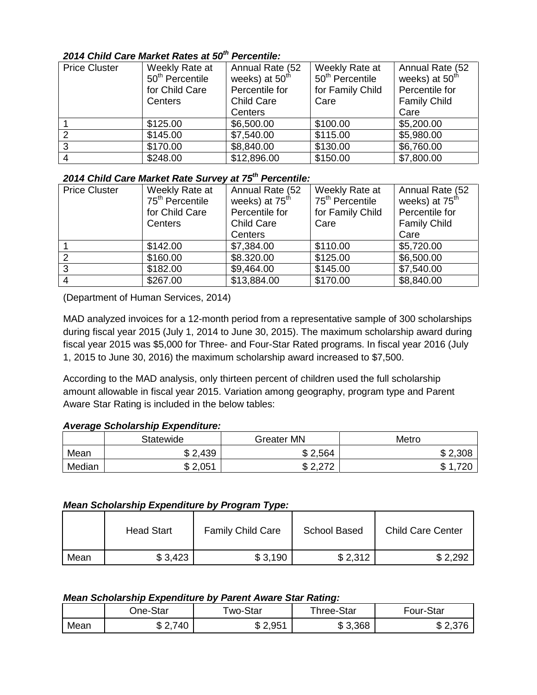### *2014 Child Care Market Rates at 50th Percentile:*

| <b>Price Cluster</b> | Weekly Rate at<br>50 <sup>th</sup> Percentile<br>for Child Care<br>Centers | Annual Rate (52<br>weeks) at 50 <sup>th</sup><br>Percentile for<br><b>Child Care</b><br>Centers | Weekly Rate at<br>50 <sup>th</sup> Percentile<br>for Family Child<br>Care | Annual Rate (52<br>weeks) at 50 <sup>th</sup><br>Percentile for<br><b>Family Child</b> |
|----------------------|----------------------------------------------------------------------------|-------------------------------------------------------------------------------------------------|---------------------------------------------------------------------------|----------------------------------------------------------------------------------------|
|                      | \$125.00                                                                   | \$6,500.00                                                                                      | \$100.00                                                                  | Care<br>\$5,200.00                                                                     |
|                      | \$145.00                                                                   | \$7,540.00                                                                                      | \$115.00                                                                  | \$5,980.00                                                                             |
|                      | \$170.00                                                                   | \$8,840.00                                                                                      | \$130.00                                                                  | \$6,760.00                                                                             |
| 4                    | \$248.00                                                                   | \$12,896.00                                                                                     | \$150.00                                                                  | \$7,800.00                                                                             |

### *2014 Child Care Market Rate Survey at 75th Percentile:*

| <b>Price Cluster</b> | Weekly Rate at<br>75 <sup>th</sup> Percentile<br>for Child Care<br>Centers | Annual Rate (52<br>weeks) at 75 <sup>th</sup><br>Percentile for<br><b>Child Care</b> | Weekly Rate at<br>75 <sup>th</sup> Percentile<br>for Family Child<br>Care | Annual Rate (52<br>weeks) at 75 <sup>th</sup><br>Percentile for<br><b>Family Child</b> |
|----------------------|----------------------------------------------------------------------------|--------------------------------------------------------------------------------------|---------------------------------------------------------------------------|----------------------------------------------------------------------------------------|
|                      |                                                                            | Centers                                                                              |                                                                           | Care                                                                                   |
|                      | \$142.00                                                                   | \$7,384.00                                                                           | \$110.00                                                                  | \$5,720.00                                                                             |
| ົ                    | \$160.00                                                                   | \$8.320.00                                                                           | \$125.00                                                                  | \$6,500.00                                                                             |
| 3                    | \$182.00                                                                   | \$9,464.00                                                                           | \$145.00                                                                  | \$7,540.00                                                                             |
| 4                    | \$267.00                                                                   | \$13,884.00                                                                          | \$170.00                                                                  | \$8,840.00                                                                             |

(Department of Human Services, 2014)

MAD analyzed invoices for a 12-month period from a representative sample of 300 scholarships during fiscal year 2015 (July 1, 2014 to June 30, 2015). The maximum scholarship award during fiscal year 2015 was \$5,000 for Three- and Four-Star Rated programs. In fiscal year 2016 (July 1, 2015 to June 30, 2016) the maximum scholarship award increased to \$7,500.

According to the MAD analysis, only thirteen percent of children used the full scholarship amount allowable in fiscal year 2015. Variation among geography, program type and Parent Aware Star Rating is included in the below tables:

#### *Average Scholarship Expenditure:*

|        | Statewide        | <b>Greater MN</b>          | Metro         |
|--------|------------------|----------------------------|---------------|
| Mean   | 2,439<br>ጥ<br>۰D | 2,564<br>ጦ                 | \$2,308       |
| Median | \$2,051          | הדה ה<br>ጦ<br>L, L, L<br>w | ጥ<br>720<br>ѡ |

#### *Mean Scholarship Expenditure by Program Type:*

|      | <b>Head Start</b> | <b>Family Child Care</b> | <b>School Based</b> | <b>Child Care Center</b> |
|------|-------------------|--------------------------|---------------------|--------------------------|
| Mean | \$3,423           | \$3,190                  | \$2,312             | \$2,292                  |

#### *Mean Scholarship Expenditure by Parent Aware Star Rating:*

|      | One-Star           | wo-Star          | Three-Star       | Four-Star            |
|------|--------------------|------------------|------------------|----------------------|
| Mean | 740<br>⌒<br>$\sim$ | m<br>w<br>ا ن ټے | 3,368<br>m.<br>ง | . $\cap$<br>J<br>، س |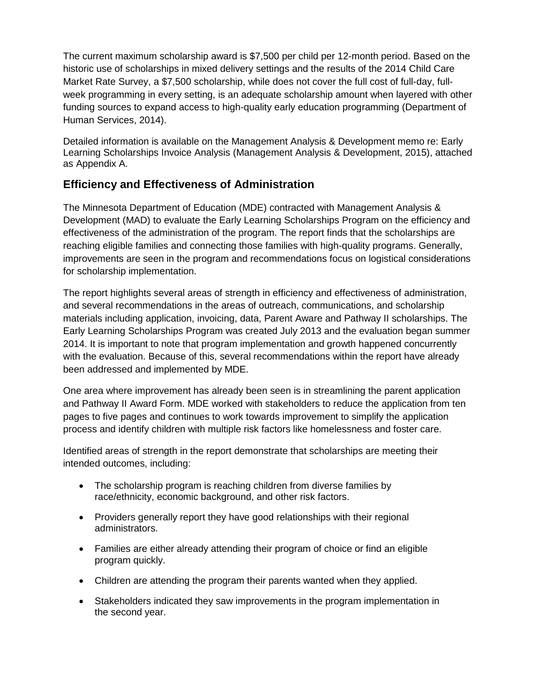The current maximum scholarship award is \$7,500 per child per 12-month period. Based on the historic use of scholarships in mixed delivery settings and the results of the 2014 Child Care Market Rate Survey, a \$7,500 scholarship, while does not cover the full cost of full-day, fullweek programming in every setting, is an adequate scholarship amount when layered with other funding sources to expand access to high-quality early education programming (Department of Human Services, 2014).

Detailed information is available on the Management Analysis & Development memo re: Early Learning Scholarships Invoice Analysis (Management Analysis & Development, 2015), attached as Appendix A.

# **Efficiency and Effectiveness of Administration**

The Minnesota Department of Education (MDE) contracted with Management Analysis & Development (MAD) to evaluate the Early Learning Scholarships Program on the efficiency and effectiveness of the administration of the program. The report finds that the scholarships are reaching eligible families and connecting those families with high-quality programs. Generally, improvements are seen in the program and recommendations focus on logistical considerations for scholarship implementation.

The report highlights several areas of strength in efficiency and effectiveness of administration, and several recommendations in the areas of outreach, communications, and scholarship materials including application, invoicing, data, Parent Aware and Pathway II scholarships. The Early Learning Scholarships Program was created July 2013 and the evaluation began summer 2014. It is important to note that program implementation and growth happened concurrently with the evaluation. Because of this, several recommendations within the report have already been addressed and implemented by MDE.

One area where improvement has already been seen is in streamlining the parent application and Pathway II Award Form. MDE worked with stakeholders to reduce the application from ten pages to five pages and continues to work towards improvement to simplify the application process and identify children with multiple risk factors like homelessness and foster care.

Identified areas of strength in the report demonstrate that scholarships are meeting their intended outcomes, including:

- The scholarship program is reaching children from diverse families by race/ethnicity, economic background, and other risk factors.
- Providers generally report they have good relationships with their regional administrators.
- Families are either already attending their program of choice or find an eligible program quickly.
- Children are attending the program their parents wanted when they applied.
- Stakeholders indicated they saw improvements in the program implementation in the second year.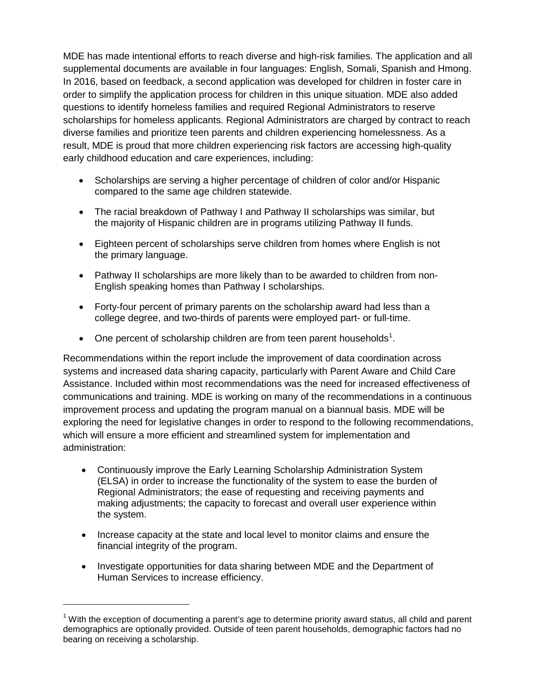MDE has made intentional efforts to reach diverse and high-risk families. The application and all supplemental documents are available in four languages: English, Somali, Spanish and Hmong. In 2016, based on feedback, a second application was developed for children in foster care in order to simplify the application process for children in this unique situation. MDE also added questions to identify homeless families and required Regional Administrators to reserve scholarships for homeless applicants. Regional Administrators are charged by contract to reach diverse families and prioritize teen parents and children experiencing homelessness. As a result, MDE is proud that more children experiencing risk factors are accessing high-quality early childhood education and care experiences, including:

- Scholarships are serving a higher percentage of children of color and/or Hispanic compared to the same age children statewide.
- The racial breakdown of Pathway I and Pathway II scholarships was similar, but the majority of Hispanic children are in programs utilizing Pathway II funds.
- Eighteen percent of scholarships serve children from homes where English is not the primary language.
- Pathway II scholarships are more likely than to be awarded to children from non-English speaking homes than Pathway I scholarships.
- Forty-four percent of primary parents on the scholarship award had less than a college degree, and two-thirds of parents were employed part- or full-time.
- One percent of scholarship children are from teen parent households<sup>[1](#page-7-0)</sup>.

Recommendations within the report include the improvement of data coordination across systems and increased data sharing capacity, particularly with Parent Aware and Child Care Assistance. Included within most recommendations was the need for increased effectiveness of communications and training. MDE is working on many of the recommendations in a continuous improvement process and updating the program manual on a biannual basis. MDE will be exploring the need for legislative changes in order to respond to the following recommendations, which will ensure a more efficient and streamlined system for implementation and administration:

- Continuously improve the Early Learning Scholarship Administration System (ELSA) in order to increase the functionality of the system to ease the burden of Regional Administrators; the ease of requesting and receiving payments and making adjustments; the capacity to forecast and overall user experience within the system.
- Increase capacity at the state and local level to monitor claims and ensure the financial integrity of the program.
- Investigate opportunities for data sharing between MDE and the Department of Human Services to increase efficiency.

<span id="page-7-0"></span><sup>&</sup>lt;sup>1</sup> With the exception of documenting a parent's age to determine priority award status, all child and parent demographics are optionally provided. Outside of teen parent households, demographic factors had no bearing on receiving a scholarship.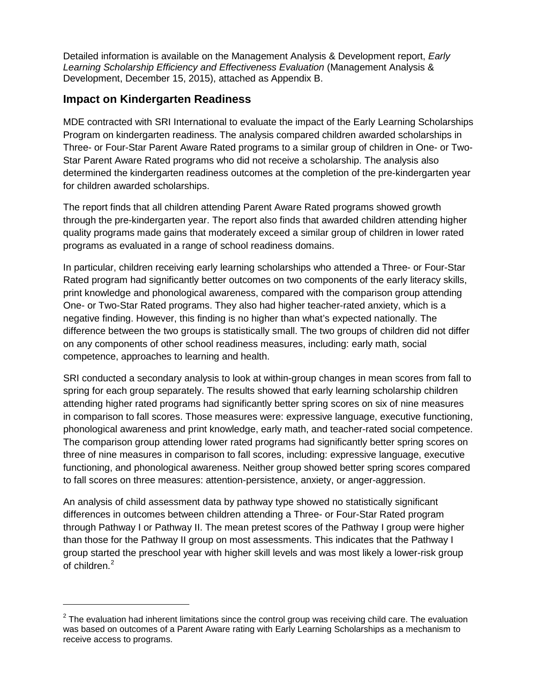Detailed information is available on the Management Analysis & Development report, *Early Learning Scholarship Efficiency and Effectiveness Evaluation* (Management Analysis & Development, December 15, 2015), attached as Appendix B.

## **Impact on Kindergarten Readiness**

MDE contracted with SRI International to evaluate the impact of the Early Learning Scholarships Program on kindergarten readiness. The analysis compared children awarded scholarships in Three- or Four-Star Parent Aware Rated programs to a similar group of children in One- or Two-Star Parent Aware Rated programs who did not receive a scholarship. The analysis also determined the kindergarten readiness outcomes at the completion of the pre-kindergarten year for children awarded scholarships.

The report finds that all children attending Parent Aware Rated programs showed growth through the pre-kindergarten year. The report also finds that awarded children attending higher quality programs made gains that moderately exceed a similar group of children in lower rated programs as evaluated in a range of school readiness domains.

In particular, children receiving early learning scholarships who attended a Three- or Four-Star Rated program had significantly better outcomes on two components of the early literacy skills, print knowledge and phonological awareness, compared with the comparison group attending One- or Two-Star Rated programs. They also had higher teacher-rated anxiety, which is a negative finding. However, this finding is no higher than what's expected nationally. The difference between the two groups is statistically small. The two groups of children did not differ on any components of other school readiness measures, including: early math, social competence, approaches to learning and health.

SRI conducted a secondary analysis to look at within-group changes in mean scores from fall to spring for each group separately. The results showed that early learning scholarship children attending higher rated programs had significantly better spring scores on six of nine measures in comparison to fall scores. Those measures were: expressive language, executive functioning, phonological awareness and print knowledge, early math, and teacher-rated social competence. The comparison group attending lower rated programs had significantly better spring scores on three of nine measures in comparison to fall scores, including: expressive language, executive functioning, and phonological awareness. Neither group showed better spring scores compared to fall scores on three measures: attention-persistence, anxiety, or anger-aggression.

An analysis of child assessment data by pathway type showed no statistically significant differences in outcomes between children attending a Three- or Four-Star Rated program through Pathway I or Pathway II. The mean pretest scores of the Pathway I group were higher than those for the Pathway II group on most assessments. This indicates that the Pathway I group started the preschool year with higher skill levels and was most likely a lower-risk group of children.<sup>[2](#page-8-0)</sup>

<span id="page-8-0"></span> $2$  The evaluation had inherent limitations since the control group was receiving child care. The evaluation was based on outcomes of a Parent Aware rating with Early Learning Scholarships as a mechanism to receive access to programs.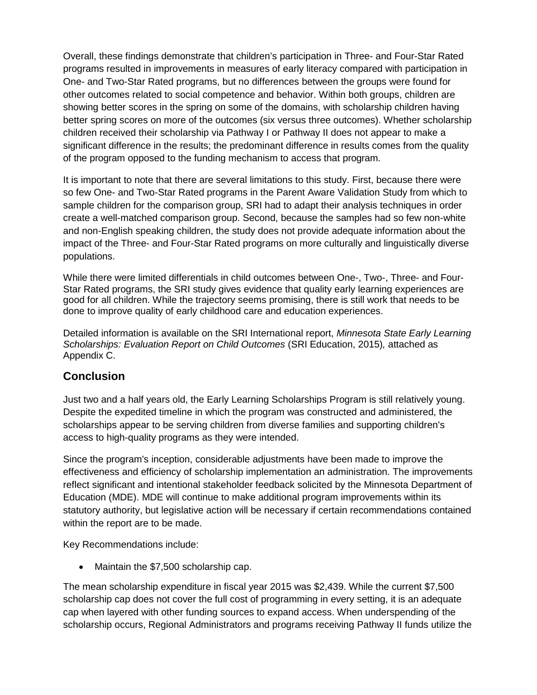Overall, these findings demonstrate that children's participation in Three- and Four-Star Rated programs resulted in improvements in measures of early literacy compared with participation in One- and Two-Star Rated programs, but no differences between the groups were found for other outcomes related to social competence and behavior. Within both groups, children are showing better scores in the spring on some of the domains, with scholarship children having better spring scores on more of the outcomes (six versus three outcomes). Whether scholarship children received their scholarship via Pathway I or Pathway II does not appear to make a significant difference in the results; the predominant difference in results comes from the quality of the program opposed to the funding mechanism to access that program.

It is important to note that there are several limitations to this study. First, because there were so few One- and Two-Star Rated programs in the Parent Aware Validation Study from which to sample children for the comparison group, SRI had to adapt their analysis techniques in order create a well-matched comparison group. Second, because the samples had so few non-white and non-English speaking children, the study does not provide adequate information about the impact of the Three- and Four-Star Rated programs on more culturally and linguistically diverse populations.

While there were limited differentials in child outcomes between One-, Two-, Three- and Four-Star Rated programs, the SRI study gives evidence that quality early learning experiences are good for all children. While the trajectory seems promising, there is still work that needs to be done to improve quality of early childhood care and education experiences.

Detailed information is available on the SRI International report, *Minnesota State Early Learning Scholarships: Evaluation Report on Child Outcomes* (SRI Education, 2015)*,* attached as Appendix C.

# **Conclusion**

Just two and a half years old, the Early Learning Scholarships Program is still relatively young. Despite the expedited timeline in which the program was constructed and administered, the scholarships appear to be serving children from diverse families and supporting children's access to high-quality programs as they were intended.

Since the program's inception, considerable adjustments have been made to improve the effectiveness and efficiency of scholarship implementation an administration. The improvements reflect significant and intentional stakeholder feedback solicited by the Minnesota Department of Education (MDE). MDE will continue to make additional program improvements within its statutory authority, but legislative action will be necessary if certain recommendations contained within the report are to be made.

Key Recommendations include:

• Maintain the \$7,500 scholarship cap.

The mean scholarship expenditure in fiscal year 2015 was \$2,439. While the current \$7,500 scholarship cap does not cover the full cost of programming in every setting, it is an adequate cap when layered with other funding sources to expand access. When underspending of the scholarship occurs, Regional Administrators and programs receiving Pathway II funds utilize the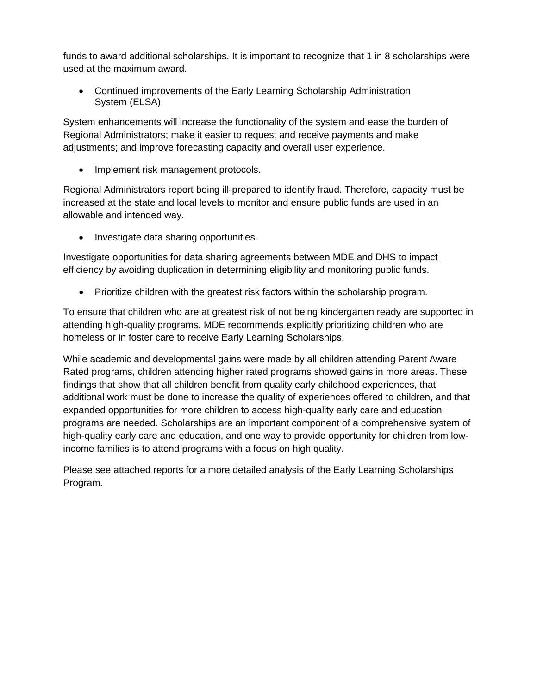funds to award additional scholarships. It is important to recognize that 1 in 8 scholarships were used at the maximum award.

• Continued improvements of the Early Learning Scholarship Administration System (ELSA).

System enhancements will increase the functionality of the system and ease the burden of Regional Administrators; make it easier to request and receive payments and make adjustments; and improve forecasting capacity and overall user experience.

• Implement risk management protocols.

Regional Administrators report being ill-prepared to identify fraud. Therefore, capacity must be increased at the state and local levels to monitor and ensure public funds are used in an allowable and intended way.

• Investigate data sharing opportunities.

Investigate opportunities for data sharing agreements between MDE and DHS to impact efficiency by avoiding duplication in determining eligibility and monitoring public funds.

• Prioritize children with the greatest risk factors within the scholarship program.

To ensure that children who are at greatest risk of not being kindergarten ready are supported in attending high-quality programs, MDE recommends explicitly prioritizing children who are homeless or in foster care to receive Early Learning Scholarships.

While academic and developmental gains were made by all children attending Parent Aware Rated programs, children attending higher rated programs showed gains in more areas. These findings that show that all children benefit from quality early childhood experiences, that additional work must be done to increase the quality of experiences offered to children, and that expanded opportunities for more children to access high-quality early care and education programs are needed. Scholarships are an important component of a comprehensive system of high-quality early care and education, and one way to provide opportunity for children from lowincome families is to attend programs with a focus on high quality.

Please see attached reports for a more detailed analysis of the Early Learning Scholarships Program.